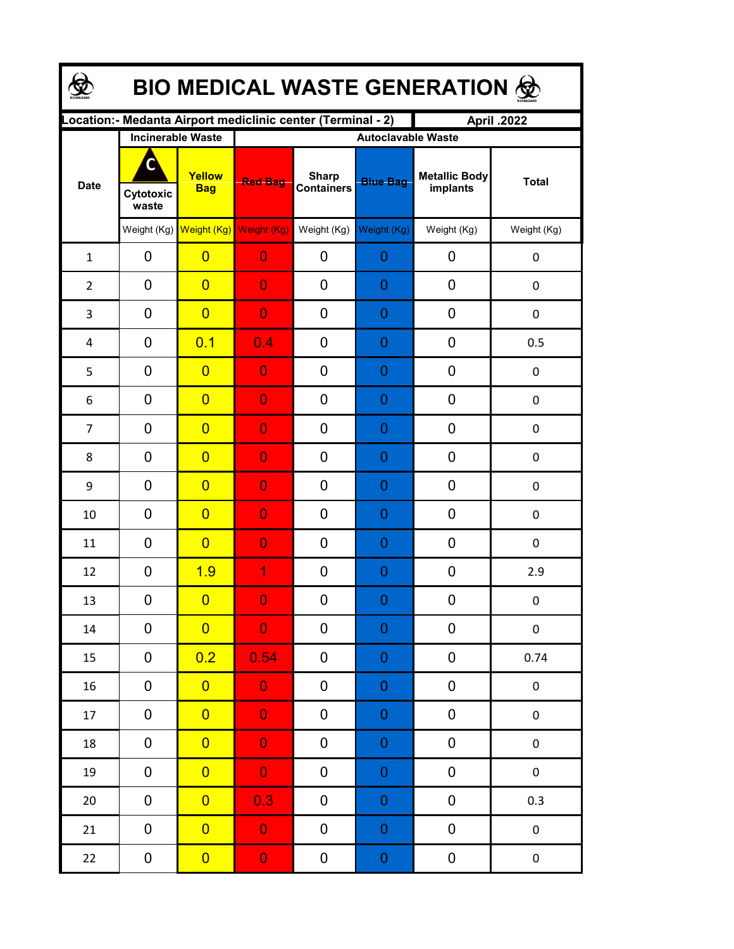| BIO MEDICAL WASTE GENERATION & |                         |                                                  |                                                              |                                   |                                              |                                  |                  |  |  |  |
|--------------------------------|-------------------------|--------------------------------------------------|--------------------------------------------------------------|-----------------------------------|----------------------------------------------|----------------------------------|------------------|--|--|--|
|                                |                         |                                                  | Location: - Medanta Airport mediclinic center (Terminal - 2) |                                   |                                              | April .2022                      |                  |  |  |  |
| <b>Date</b>                    | C<br>Cytotoxic<br>waste | <b>Incinerable Waste</b><br>Yellow<br><b>Bag</b> | <b>Red Bag</b>                                               | <b>Sharp</b><br><b>Containers</b> | <b>Autoclavable Waste</b><br><b>Blue Bag</b> | <b>Metallic Body</b><br>implants | <b>Total</b>     |  |  |  |
|                                |                         | Weight (Kg) Weight (Kg) Weight (Kg)              |                                                              | Weight (Kg)                       | Weight (Kg)                                  | Weight (Kg)                      | Weight (Kg)      |  |  |  |
| $\mathbf{1}$                   | 0                       | $\overline{0}$                                   | $\overline{0}$                                               | 0                                 | $\overline{0}$                               | 0                                | $\boldsymbol{0}$ |  |  |  |
| $\overline{2}$                 | $\mathbf 0$             | $\overline{0}$                                   | $\overline{0}$                                               | 0                                 | $\overline{0}$                               | 0                                | $\mathbf 0$      |  |  |  |
| 3                              | $\mathbf 0$             | $\overline{0}$                                   | $\overline{0}$                                               | 0                                 | $\overline{0}$                               | 0                                | $\mathbf 0$      |  |  |  |
| 4                              | $\mathbf 0$             | 0.1                                              | 0.4                                                          | 0                                 | $\overline{0}$                               | 0                                | 0.5              |  |  |  |
| 5                              | $\mathbf 0$             | $\overline{0}$                                   | $\overline{0}$                                               | 0                                 | $\overline{0}$                               | 0                                | $\mathbf 0$      |  |  |  |
| 6                              | $\mathbf 0$             | $\overline{0}$                                   | $\overline{0}$                                               | 0                                 | $\overline{0}$                               | 0                                | $\boldsymbol{0}$ |  |  |  |
| $\overline{7}$                 | $\mathbf 0$             | $\overline{0}$                                   | $\overline{0}$                                               | 0                                 | $\overline{0}$                               | 0                                | $\boldsymbol{0}$ |  |  |  |
| 8                              | $\mathbf 0$             | $\overline{0}$                                   | $\overline{0}$                                               | 0                                 | $\overline{0}$                               | 0                                | $\boldsymbol{0}$ |  |  |  |
| 9                              | $\mathbf 0$             | $\overline{0}$                                   | $\overline{0}$                                               | 0                                 | $\overline{0}$                               | 0                                | $\mathbf 0$      |  |  |  |
| 10                             | $\mathbf 0$             | $\overline{0}$                                   | $\overline{0}$                                               | 0                                 | 0                                            | 0                                | 0                |  |  |  |
| 11                             | $\overline{0}$          | $\overline{0}$                                   | $\overline{0}$                                               | 0                                 | $\overline{0}$                               | 0                                | $\mathbf 0$      |  |  |  |
| 12                             | $\mathbf 0$             | 1.9                                              | 1                                                            | 0                                 | $\overline{0}$                               | 0                                | 2.9              |  |  |  |
| 13                             | $\pmb{0}$               | $\overline{0}$                                   | $\Omega$                                                     | 0                                 | $\Omega$                                     | 0                                | 0                |  |  |  |
| $14\,$                         | 0                       | $\overline{0}$                                   | $\overline{0}$                                               | 0                                 | $\boldsymbol{0}$                             | 0                                | 0                |  |  |  |
| 15                             | 0                       | 0.2                                              | 0.54                                                         | 0                                 | $\boldsymbol{0}$                             | $\pmb{0}$                        | 0.74             |  |  |  |
| 16                             | 0                       | $\overline{0}$                                   | $\mathbf 0$                                                  | 0                                 | $\boldsymbol{0}$                             | $\pmb{0}$                        | 0                |  |  |  |
| 17                             | $\pmb{0}$               | $\overline{0}$                                   | $\mathbf 0$                                                  | 0                                 | $\mathbf 0$                                  | $\pmb{0}$                        | $\pmb{0}$        |  |  |  |
| 18                             | $\pmb{0}$               | $\overline{0}$                                   | $\mathbf 0$                                                  | 0                                 | $\mathbf 0$                                  | $\pmb{0}$                        | $\pmb{0}$        |  |  |  |
| 19                             | $\pmb{0}$               | $\overline{0}$                                   | $\mathbf 0$                                                  | 0                                 | $\mathbf 0$                                  | 0                                | $\pmb{0}$        |  |  |  |
| 20                             | $\pmb{0}$               | $\overline{0}$                                   | 0.3                                                          | 0                                 | $\mathbf 0$                                  | 0                                | 0.3              |  |  |  |
| 21                             | $\pmb{0}$               | $\overline{0}$                                   | $\mathbf 0$                                                  | 0                                 | $\mathbf 0$                                  | $\pmb{0}$                        | $\pmb{0}$        |  |  |  |
| 22                             | $\boldsymbol{0}$        | $\overline{0}$                                   | $\mathbf{0}$                                                 | 0                                 | $\boldsymbol{0}$                             | $\pmb{0}$                        | $\pmb{0}$        |  |  |  |